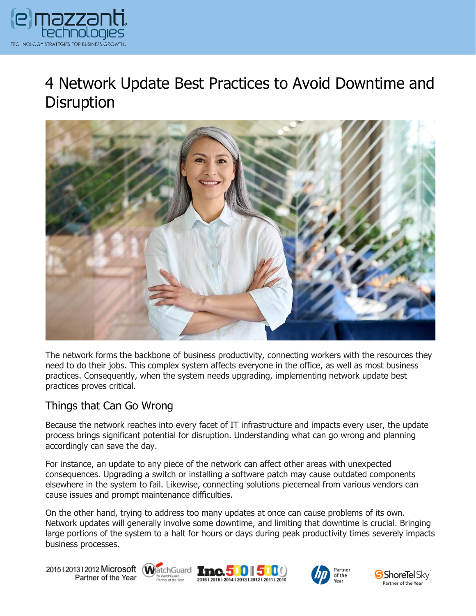

# 4 Network Update Best Practices to Avoid Downtime and **Disruption**



The network forms the backbone of business productivity, connecting workers with the resources they need to do their jobs. This complex system affects everyone in the office, as well as most business practices. Consequently, when the system needs upgrading, implementing network update best practices proves critical.

### Things that Can Go Wrong

Because the network reaches into every facet of IT infrastructure and impacts every user, the update process brings significant potential for disruption. Understanding what can go wrong and planning accordingly can save the day.

For instance, an update to any piece of the network can affect other areas with unexpected consequences. Upgrading a switch or installing a software patch may cause outdated components elsewhere in the system to fail. Likewise, connecting solutions piecemeal from various vendors can cause issues and prompt maintenance difficulties.

On the other hand, trying to address too many updates at once can cause problems of its own. Network updates will generally involve some downtime, and limiting that downtime is crucial. Bringing large portions of the system to a halt for hours or days during peak productivity times severely impacts business processes.

20151201312012 Microsoft WatchGuard Tnc. 500 500 Partner of the Year







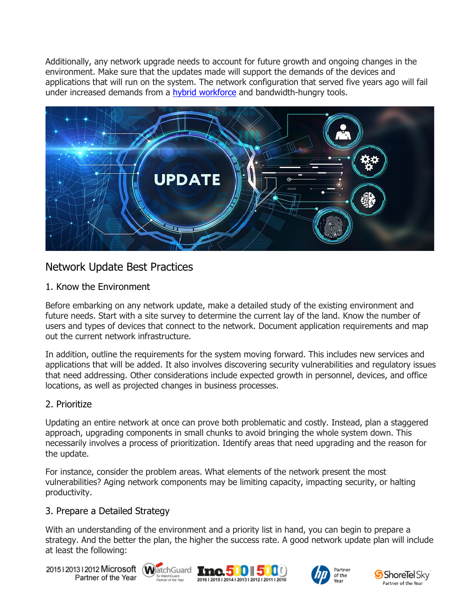Additionally, any network upgrade needs to account for future growth and ongoing changes in the environment. Make sure that the updates made will support the demands of the devices and applications that will run on the system. The network configuration that served five years ago will fail under increased demands from a [hybrid workforce](https://www.emazzanti.net/hybrid-workspace-technology/) and bandwidth-hungry tools.



## Network Update Best Practices

#### 1. Know the Environment

Before embarking on any network update, make a detailed study of the existing environment and future needs. Start with a site survey to determine the current lay of the land. Know the number of users and types of devices that connect to the network. Document application requirements and map out the current network infrastructure.

In addition, outline the requirements for the system moving forward. This includes new services and applications that will be added. It also involves discovering security vulnerabilities and regulatory issues that need addressing. Other considerations include expected growth in personnel, devices, and office locations, as well as projected changes in business processes.

#### 2. Prioritize

Updating an entire network at once can prove both problematic and costly. Instead, plan a staggered approach, upgrading components in small chunks to avoid bringing the whole system down. This necessarily involves a process of prioritization. Identify areas that need upgrading and the reason for the update.

For instance, consider the problem areas. What elements of the network present the most vulnerabilities? Aging network components may be limiting capacity, impacting security, or halting productivity.

#### 3. Prepare a Detailed Strategy

With an understanding of the environment and a priority list in hand, you can begin to prepare a strategy. And the better the plan, the higher the success rate. A good network update plan will include at least the following:

20151201312012 Microsoft WatchGuard Tmc. 500 500 Partner of the Year